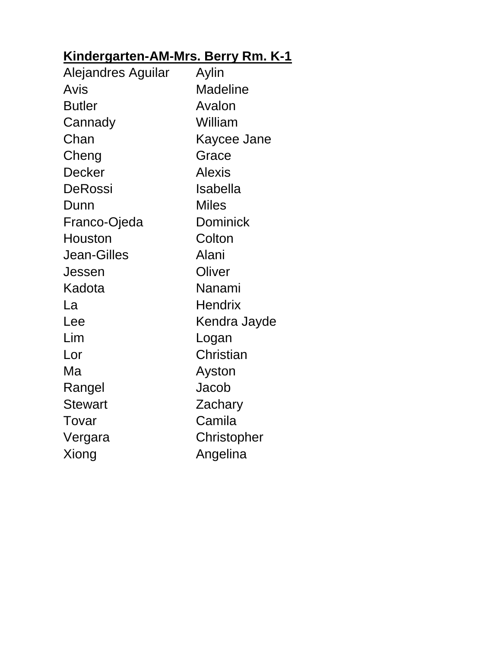### **Kindergarten-AM-Mrs. Berry Rm. K-1**

| Alejandres Aguilar | Aylin           |
|--------------------|-----------------|
| Avis               | Madeline        |
| <b>Butler</b>      | Avalon          |
| Cannady            | William         |
| Chan               | Kaycee Jane     |
| Cheng              | Grace           |
| <b>Decker</b>      | <b>Alexis</b>   |
| DeRossi            | Isabella        |
| Dunn               | <b>Miles</b>    |
| Franco-Ojeda       | <b>Dominick</b> |
| Houston            | Colton          |
| <b>Jean-Gilles</b> | Alani           |
| Jessen             | Oliver          |
| Kadota             | Nanami          |
| La                 | <b>Hendrix</b>  |
| Lee                | Kendra Jayde    |
| Lim                | Logan           |
| Lor                | Christian       |
| Ma                 | Ayston          |
| Rangel             | Jacob           |
| <b>Stewart</b>     | Zachary         |
| Tovar              | Camila          |
| Vergara            | Christopher     |
| Xiong              | Angelina        |
|                    |                 |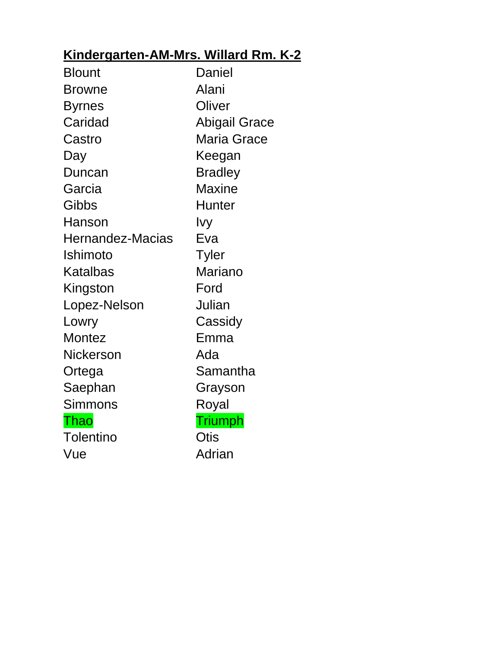### **Kindergarten-AM-Mrs. Willard Rm. K-2**

| <b>Blount</b>           | Daniel               |
|-------------------------|----------------------|
| <b>Browne</b>           | Alani                |
| <b>Byrnes</b>           | Oliver               |
| Caridad                 | <b>Abigail Grace</b> |
| Castro                  | <b>Maria Grace</b>   |
| Day                     | Keegan               |
| Duncan                  | <b>Bradley</b>       |
| Garcia                  | <b>Maxine</b>        |
| Gibbs                   | <b>Hunter</b>        |
| Hanson                  | Ivy                  |
| <b>Hernandez-Macias</b> | Eva                  |
| Ishimoto                | <b>Tyler</b>         |
| Katalbas                | Mariano              |
| Kingston                | Ford                 |
| Lopez-Nelson            | Julian               |
| Lowry                   | Cassidy              |
| <b>Montez</b>           | Emma                 |
| <b>Nickerson</b>        | Ada                  |
| Ortega                  | Samantha             |
| Saephan                 | Grayson              |
| <b>Simmons</b>          | Royal                |
| Thao                    | <b>Triumph</b>       |
| <b>Tolentino</b>        | Otis                 |
| Vue                     | Adrian               |
|                         |                      |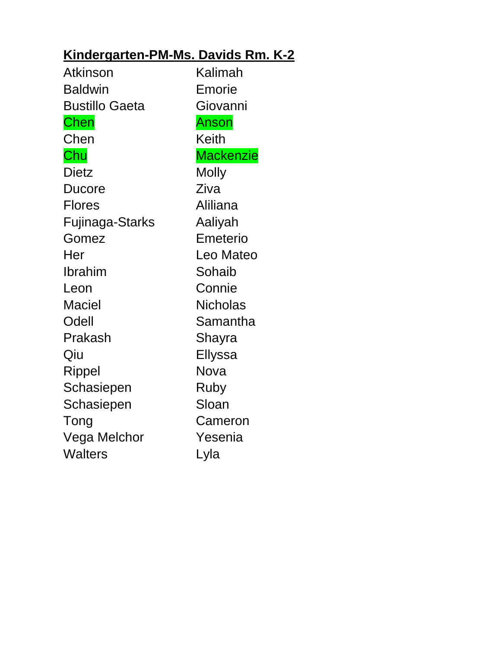### **Kindergarten-PM-Ms. Davids Rm. K-2**

| Atkinson               | Kalimah          |
|------------------------|------------------|
| <b>Baldwin</b>         | Emorie           |
| <b>Bustillo Gaeta</b>  | Giovanni         |
| Chen                   | Anson            |
| Chen                   | <b>Keith</b>     |
| Chu                    | <b>Mackenzie</b> |
| <b>Dietz</b>           | <b>Molly</b>     |
| Ducore                 | Ziva             |
| <b>Flores</b>          | Aliliana         |
| <b>Fujinaga-Starks</b> | Aaliyah          |
| Gomez                  | Emeterio         |
| Her                    | Leo Mateo        |
| Ibrahim                | Sohaib           |
| Leon                   | Connie           |
| <b>Maciel</b>          | <b>Nicholas</b>  |
| Odell                  | Samantha         |
| Prakash                | Shayra           |
| Qiu                    | Ellyssa          |
| Rippel                 | Nova             |
| Schasiepen             | Ruby             |
| Schasiepen             | Sloan            |
| Tong                   | Cameron          |
| Vega Melchor           | Yesenia          |
| <b>Walters</b>         | Lyla             |
|                        |                  |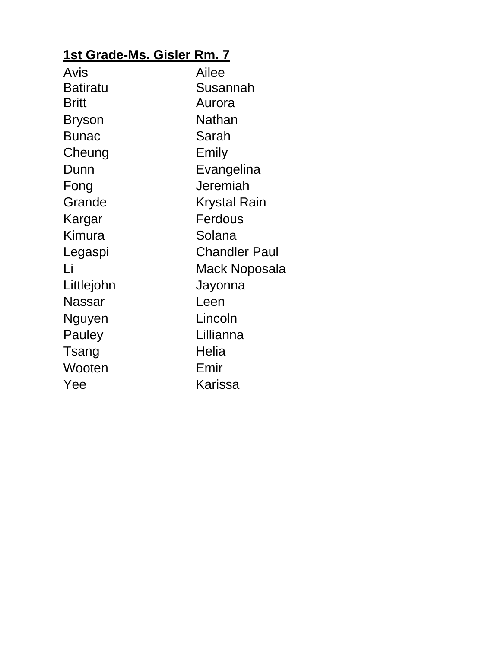### **1st Grade-Ms. Gisler Rm. 7**

| Avis            | Ailee         |
|-----------------|---------------|
| <b>Batiratu</b> | Susannah      |
| <b>Britt</b>    | Aurora        |
| <b>Bryson</b>   | Nathan        |
| <b>Bunac</b>    | Sarah         |
| Cheung          | Emily         |
| Dunn            | Evangelina    |
| Fong            | Jeremiah      |
| Grande          | Krystal Rain  |
| Kargar          | Ferdous       |
| Kimura          | Solana        |
| Legaspi         | Chandler Paul |
| Li              | Mack Noposala |
| Littlejohn      | Jayonna       |
| <b>Nassar</b>   | Leen          |
| Nguyen          | Lincoln       |
| Pauley          | Lillianna     |
| Tsang           | Helia         |
| Wooten          | Emir          |
| Yee             | Karissa       |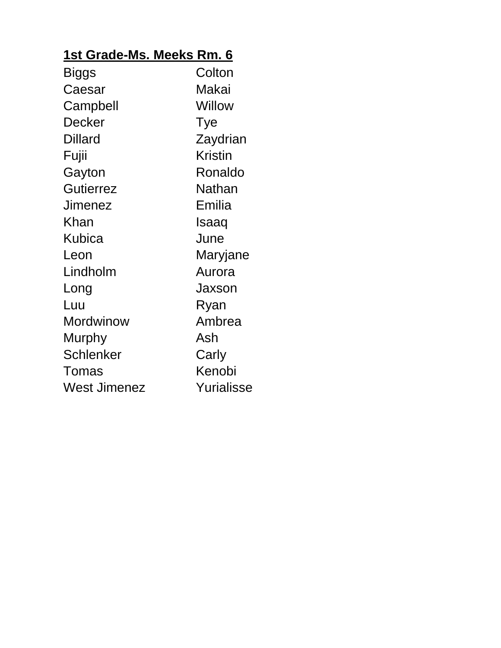### **1st Grade-Ms. Meeks Rm. 6**

| <b>Biggs</b>     | Colton         |
|------------------|----------------|
| Caesar           | Makai          |
| Campbell         | Willow         |
| Decker           | Tye            |
| <b>Dillard</b>   | Zaydrian       |
| Fujii            | <b>Kristin</b> |
| Gayton           | Ronaldo        |
| <b>Gutierrez</b> | Nathan         |
| <b>Jimenez</b>   | Emilia         |
| Khan             | Isaaq          |
| Kubica           | June           |
| Leon             | Maryjane       |
| Lindholm         | Aurora         |
| Long             | Jaxson         |
| Luu              | Ryan           |
| <b>Mordwinow</b> | Ambrea         |
| <b>Murphy</b>    | Ash            |
| <b>Schlenker</b> | Carly          |
| Tomas            | Kenobi         |
| West Jimenez     | Yurialisse     |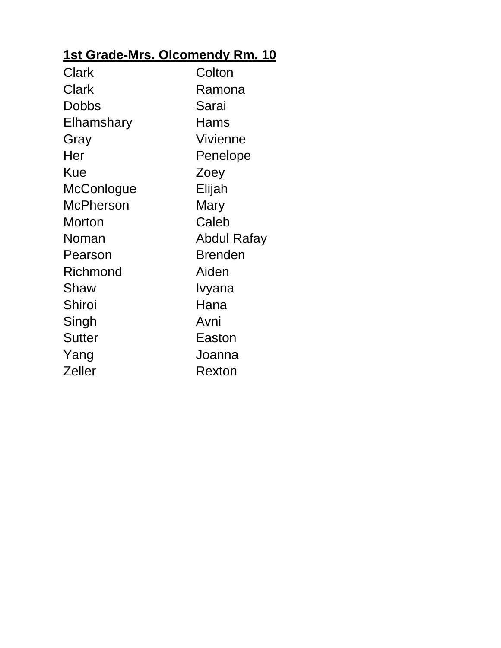### **1st Grade-Mrs. Olcomendy Rm. 10**

| Clark         | Colton          |
|---------------|-----------------|
| Clark         | Ramona          |
| Dobbs         | Sarai           |
| Elhamshary    | Hams            |
| Gray          | <b>Vivienne</b> |
| Her           | Penelope        |
| Kue           | Zoey            |
| McConlogue    | Elijah          |
| McPherson     | Mary            |
| <b>Morton</b> | Caleb           |
| Noman         | Abdul Rafay     |
| Pearson       | <b>Brenden</b>  |
| Richmond      | Aiden           |
| Shaw          | Ivyana          |
| Shiroi        | Hana            |
| Singh         | Avni            |
| <b>Sutter</b> | Easton          |
| Yang          | Joanna          |
| Zeller        | Rexton          |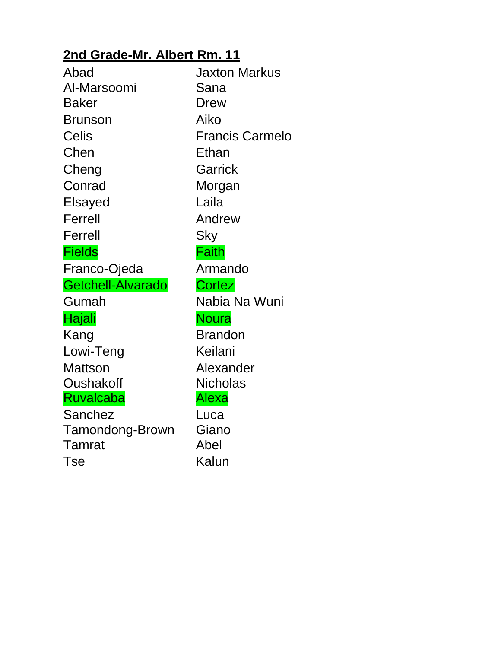### **2nd Grade-Mr. Albert Rm. 11**

| Abad              | <b>Jaxton Markus</b>   |
|-------------------|------------------------|
| Al-Marsoomi       | Sana                   |
| <b>Baker</b>      | Drew                   |
| <b>Brunson</b>    | Aiko                   |
| <b>Celis</b>      | <b>Francis Carmelo</b> |
| Chen              | Ethan                  |
| Cheng             | Garrick                |
| Conrad            | Morgan                 |
| Elsayed           | Laila                  |
| Ferrell           | Andrew                 |
| Ferrell           | Sky                    |
| <b>Fields</b>     | Faith                  |
| Franco-Ojeda      | Armando                |
| Getchell-Alvarado | <b>Cortez</b>          |
| Gumah             | Nabia Na Wuni          |
| Hajali            | <b>Noura</b>           |
| Kang              | <b>Brandon</b>         |
| Lowi-Teng         | Keilani                |
| <b>Mattson</b>    | Alexander              |
| Oushakoff         | <b>Nicholas</b>        |
| <b>Ruvalcaba</b>  | Alexa                  |
| Sanchez           | Luca                   |
| Tamondong-Brown   | Giano                  |
| Tamrat            | Abel                   |
| Tse               | Kalun                  |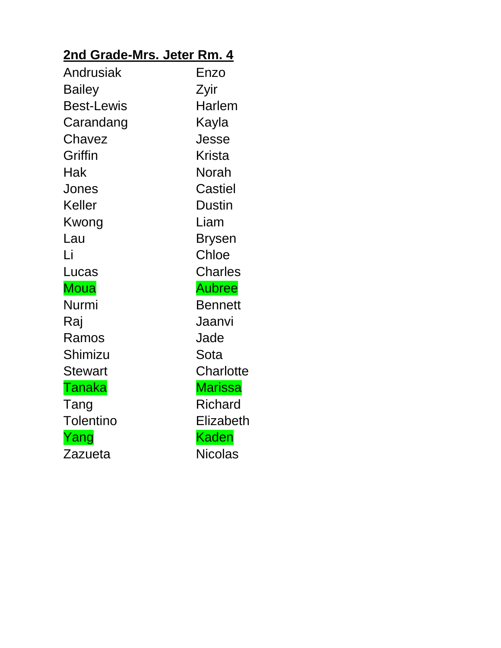# **2nd Grade-Mrs. Jeter Rm. 4**

| Andrusiak         | Enzo           |
|-------------------|----------------|
| <b>Bailey</b>     | Zyir           |
| <b>Best-Lewis</b> | <b>Harlem</b>  |
| Carandang         | Kayla          |
| Chavez            | Jesse          |
| Griffin           | <b>Krista</b>  |
| Hak               | Norah          |
| Jones             | Castiel        |
| Keller            | <b>Dustin</b>  |
| Kwong             | Liam           |
| Lau               | <b>Brysen</b>  |
| Li                | Chloe          |
| Lucas             | <b>Charles</b> |
| <b>Moua</b>       | <b>Aubree</b>  |
| Nurmi             | <b>Bennett</b> |
| Raj               | Jaanvi         |
| Ramos             | Jade           |
| Shimizu           | Sota           |
| <b>Stewart</b>    | Charlotte      |
| Tanaka            | <b>Marissa</b> |
| Tang              | <b>Richard</b> |
| <b>Tolentino</b>  | Elizabeth      |
| Yang              | <b>Kaden</b>   |
| Zazueta           | <b>Nicolas</b> |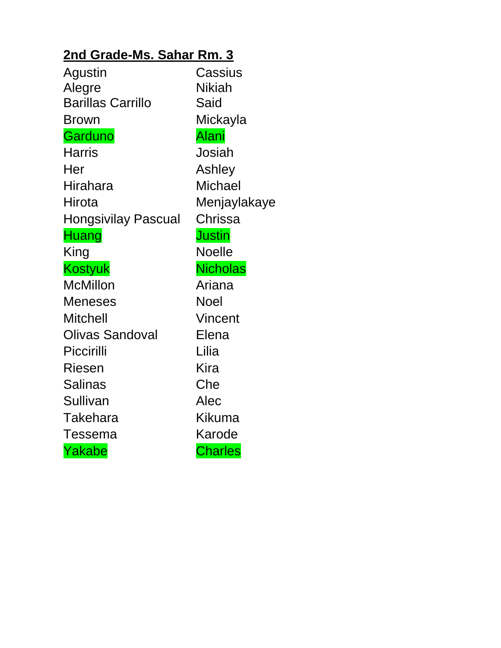### **2nd Grade-Ms. Sahar Rm. 3**

| Agustin                  | Cassius         |
|--------------------------|-----------------|
| Alegre                   | Nikiah          |
| <b>Barillas Carrillo</b> | Said            |
| Brown                    | Mickayla        |
| Garduno                  | <u>Alani</u>    |
| Harris                   | Josiah          |
| Her                      | Ashley          |
| Hirahara                 | <b>Michael</b>  |
| Hirota                   | Menjaylakaye    |
| Hongsivilay Pascual      | Chrissa         |
| Huang                    | <b>Justin</b>   |
| King                     | <b>Noelle</b>   |
| <b>Kostyuk</b>           | <b>Nicholas</b> |
| <b>McMillon</b>          | Ariana          |
| <b>Meneses</b>           | <b>Noel</b>     |
| <b>Mitchell</b>          | <b>Vincent</b>  |
| Olivas Sandoval          | Elena           |
| Piccirilli               | Lilia           |
| <b>Riesen</b>            | Kira            |
| <b>Salinas</b>           | Che             |
| Sullivan                 | Alec            |
| Takehara                 | Kikuma          |
| Tessema                  | Karode          |
| Yakabe                   | <b>Charles</b>  |
|                          |                 |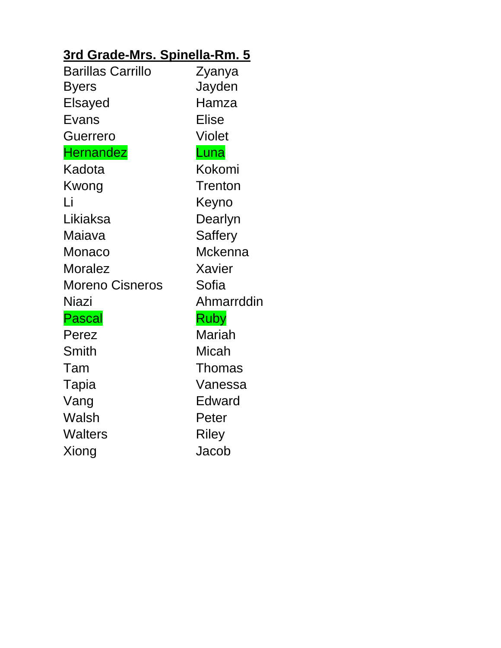### **3rd Grade-Mrs. Spinella-Rm. 5**

| Zyanya         |
|----------------|
| Jayden         |
| Hamza          |
| <b>Elise</b>   |
| <b>Violet</b>  |
| Luna           |
| Kokomi         |
| Trenton        |
| Keyno          |
| Dearlyn        |
| <b>Saffery</b> |
| <b>Mckenna</b> |
| Xavier         |
| Sofia          |
| Ahmarrddin     |
| <b>Ruby</b>    |
| <b>Mariah</b>  |
| Micah          |
| <b>Thomas</b>  |
| Vanessa        |
| Edward         |
| Peter          |
| <b>Riley</b>   |
| Jacob          |
|                |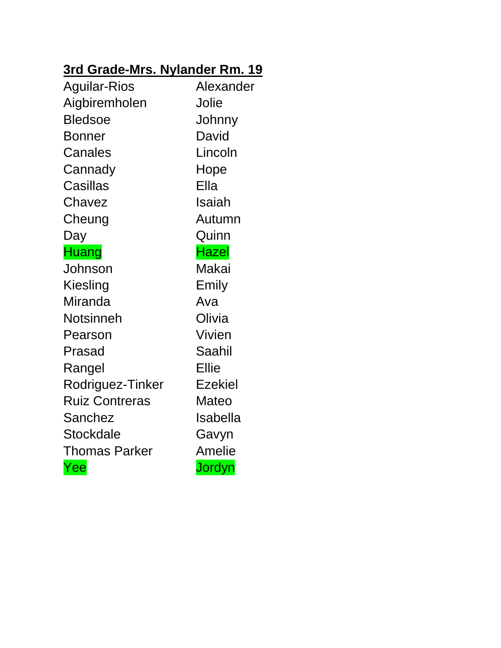### **3rd Grade-Mrs. Nylander Rm. 19**

| <b>Aguilar-Rios</b>   | Alexander      |
|-----------------------|----------------|
| Aigbiremholen         | Jolie          |
| <b>Bledsoe</b>        | Johnny         |
| Bonner                | David          |
| Canales               | Lincoln        |
| Cannady               | Hope           |
| <b>Casillas</b>       | Ella           |
| Chavez                | Isaiah         |
| Cheung                | Autumn         |
| Day                   | Quinn          |
| <b>Huang</b>          | <b>Hazel</b>   |
| Johnson               | Makai          |
| Kiesling              | Emily          |
| Miranda               | Ava            |
| Notsinneh             | Olivia         |
| Pearson               | <b>Vivien</b>  |
| Prasad                | Saahil         |
| Rangel                | <b>Ellie</b>   |
| Rodriguez-Tinker      | <b>Ezekiel</b> |
| <b>Ruiz Contreras</b> | Mateo          |
| Sanchez               | Isabella       |
| Stockdale             | Gavyn          |
| <b>Thomas Parker</b>  | <b>Amelie</b>  |
| Yee                   | Jordyn         |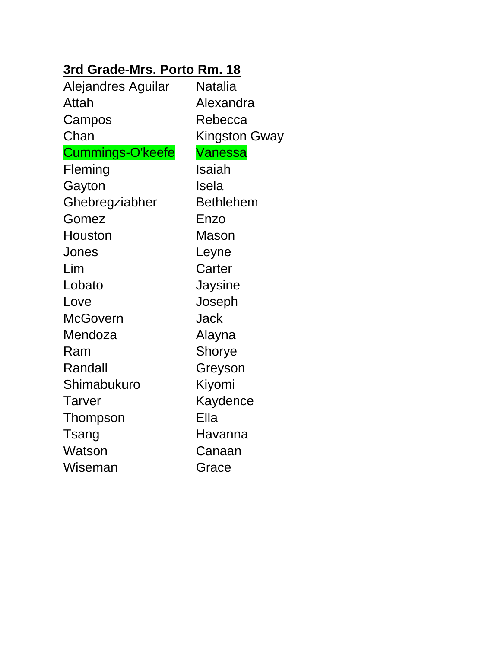#### **3rd Grade-Mrs. Porto Rm. 18**

| Alejandres Aguilar | Natalia              |
|--------------------|----------------------|
| Attah              | Alexandra            |
| Campos             | Rebecca              |
| Chan               | <b>Kingston Gway</b> |
| Cummings-O'keefe   | Vanessa              |
| Fleming            | Isaiah               |
| Gayton             | Isela                |
| Ghebregziabher     | <b>Bethlehem</b>     |
| Gomez              | Enzo                 |
| Houston            | <b>Mason</b>         |
| Jones              | Leyne                |
| Lim                | Carter               |
| Lobato             | Jaysine              |
| Love               | Joseph               |
| McGovern           | Jack                 |
| Mendoza            | Alayna               |
| Ram                | Shorye               |
| Randall            | Greyson              |
| Shimabukuro        | Kiyomi               |
| Tarver             | Kaydence             |
| Thompson           | Ella                 |
| Tsang              | Havanna              |
| Watson             | Canaan               |
| Wiseman            | Grace                |
|                    |                      |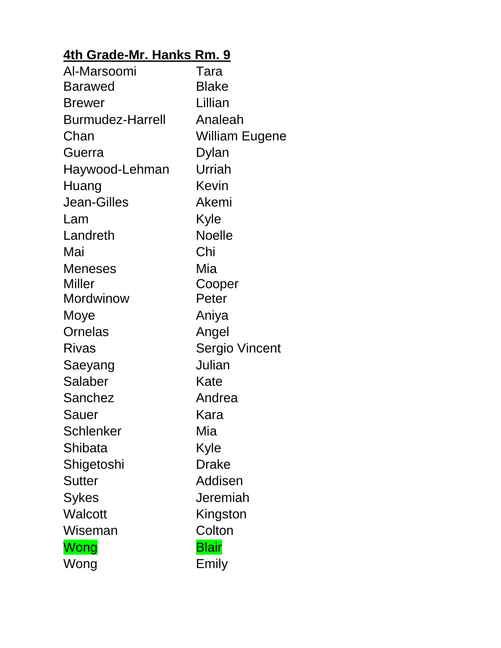# **4th Grade-Mr. Hanks Rm. 9**

| Al-Marsoomi             | Tara           |
|-------------------------|----------------|
| <b>Barawed</b>          | <b>Blake</b>   |
| <b>Brewer</b>           | Lillian        |
| <b>Burmudez-Harrell</b> | Analeah        |
| Chan                    | William Eugene |
| Guerra                  | Dylan          |
| Haywood-Lehman          | Urriah         |
| Huang                   | Kevin          |
| <b>Jean-Gilles</b>      | Akemi          |
| Lam                     | Kyle           |
| Landreth                | <b>Noelle</b>  |
| Mai                     | Chi            |
| <b>Meneses</b>          | Mia            |
| <b>Miller</b>           | Cooper         |
| <b>Mordwinow</b>        | Peter          |
| Moye                    | Aniya          |
| Ornelas                 | Angel          |
| <b>Rivas</b>            | Sergio Vincent |
| Saeyang                 | Julian         |
| Salaber                 | Kate           |
| Sanchez                 | Andrea         |
| Sauer                   | Kara           |
| Schlenker               | Mia            |
| Shibata                 | Kyle           |
| Shigetoshi              | <b>Drake</b>   |
| <b>Sutter</b>           | Addisen        |
| <b>Sykes</b>            | Jeremiah       |
| <b>Walcott</b>          | Kingston       |
| Wiseman                 | Colton         |
| Wong                    | <b>Blair</b>   |
| Wong                    | Emily          |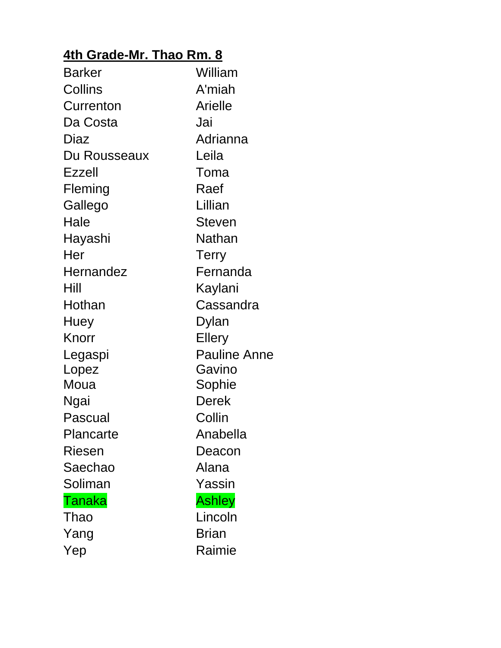### **4th Grade-Mr. Thao Rm. 8**

| <b>Barker</b>    | William             |
|------------------|---------------------|
| Collins          | A'miah              |
| Currenton        | <b>Arielle</b>      |
| Da Costa         | Jai                 |
| Diaz             | Adrianna            |
| Du Rousseaux     | Leila               |
| <b>Ezzell</b>    | Toma                |
| Fleming          | Raef                |
| Gallego          | Lillian             |
| Hale             | <b>Steven</b>       |
| Hayashi          | Nathan              |
| Her              | <b>Terry</b>        |
| <b>Hernandez</b> | Fernanda            |
| Hill             | Kaylani             |
| Hothan           | Cassandra           |
| Huey             | Dylan               |
| Knorr            | <b>Ellery</b>       |
| Legaspi          | <b>Pauline Anne</b> |
| Lopez            | Gavino              |
| Moua             | Sophie              |
| Ngai             | Derek               |
| Pascual          | Collin              |
| Plancarte        | Anabella            |
| <b>Riesen</b>    | Deacon              |
| Saechao          | Alana               |
| Soliman          | Yassin              |
| <b>Tanaka</b>    | <b>Ashley</b>       |
| Thao             | Lincoln             |
| Yang             | <b>Brian</b>        |
| Yep              | Raimie              |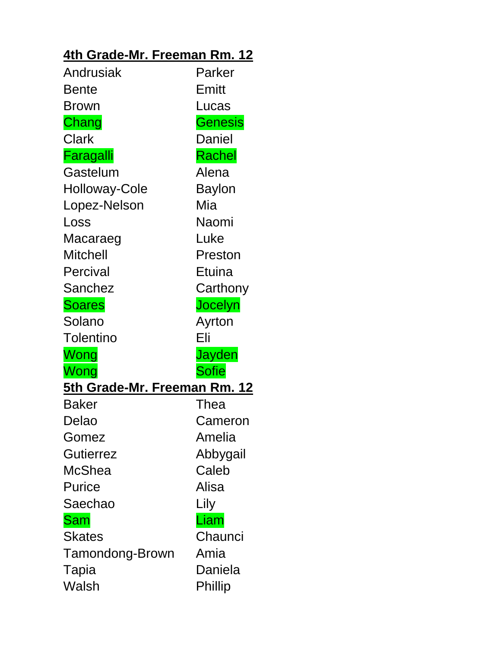### **4th Grade-Mr. Freeman Rm. 12**

| Andrusiak                           | Parker         |
|-------------------------------------|----------------|
| Bente                               | Emitt          |
| Brown                               | Lucas          |
| Chang                               | <b>Genesis</b> |
| Clark                               | Daniel         |
| Faragalli                           | Rachel         |
| Gastelum                            | Alena          |
| Holloway-Cole                       | Baylon         |
| Lopez-Nelson                        | Mia            |
| Loss                                | Naomi          |
| Macaraeg                            | Luke           |
| <b>Mitchell</b>                     | Preston        |
| Percival                            | Etuina         |
| Sanchez                             | Carthony       |
| <b>Soares</b>                       | Jocelyn        |
| Solano                              | Ayrton         |
| <b>Tolentino</b>                    | Eli            |
| Wong                                | Jayden         |
| Wong                                | <b>Sofie</b>   |
| <b>5th Grade-Mr. Freeman Rm. 12</b> |                |
| <b>Baker</b>                        | Thea           |
| Delao                               | Cameron        |
| Gomez                               | Amelia         |
| <b>Gutierrez</b>                    | Abbygail       |
| McShea                              | Caleb          |
| <b>Purice</b>                       | Alisa          |
| Saechao                             | Lily           |
| <b>Sam</b>                          | Liam           |
| <b>Skates</b>                       | Chaunci        |
| Tamondong-Brown                     | Amia           |
| Tapia                               | Daniela        |
| Walsh                               | Phillip        |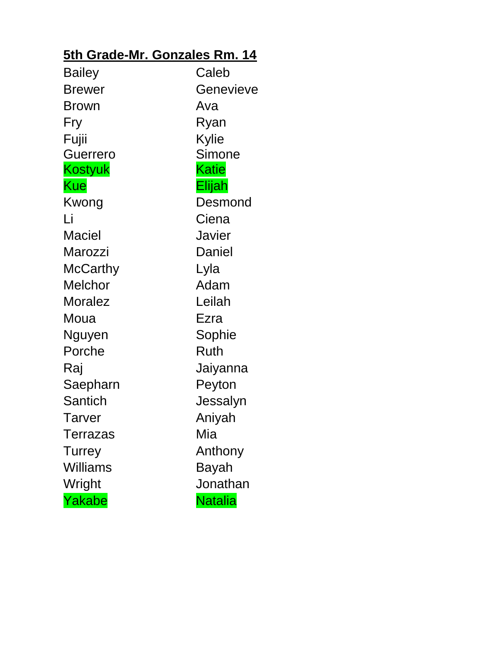### **5th Grade-Mr. Gonzales Rm. 14**

| <b>Bailey</b>   | Caleb          |
|-----------------|----------------|
| <b>Brewer</b>   | Genevieve      |
| Brown           | Ava            |
| Fry             | Ryan           |
| Fujii           | Kylie          |
| <b>Guerrero</b> | <b>Simone</b>  |
| <b>Kostyuk</b>  | <b>Katie</b>   |
| <b>Kue</b>      | Elijah         |
| Kwong           | Desmond        |
| Li              | Ciena          |
| <b>Maciel</b>   | Javier         |
| Marozzi         | Daniel         |
| McCarthy        | Lyla           |
| <b>Melchor</b>  | Adam           |
| Moralez         | Leilah         |
| Moua            | Ezra           |
| Nguyen          | Sophie         |
| Porche          | Ruth           |
| Raj             | Jaiyanna       |
| Saepharn        | Peyton         |
| Santich         | Jessalyn       |
| <b>Tarver</b>   | Aniyah         |
| Terrazas        | Mia            |
| <b>Turrey</b>   | Anthony        |
| <b>Williams</b> | Bayah          |
| Wright          | Jonathan       |
| Yakabe          | <b>Natalia</b> |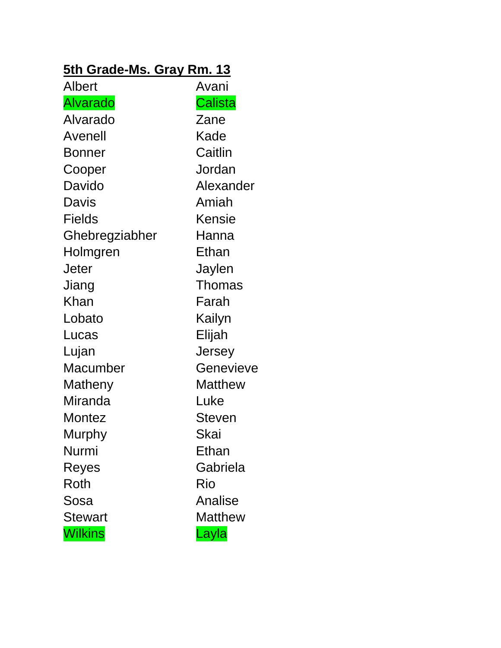#### **5th Grade-Ms. Gray Rm. 13**

| <b>Albert</b>   | Avani          |
|-----------------|----------------|
| <b>Alvarado</b> | <b>Calista</b> |
| Alvarado        | Zane           |
| Avenell         | Kade           |
| Bonner          | Caitlin        |
| Cooper          | Jordan         |
| Davido          | Alexander      |
| Davis           | Amiah          |
| <b>Fields</b>   | Kensie         |
| Ghebregziabher  | Hanna          |
| Holmgren        | Ethan          |
| Jeter           | Jaylen         |
| Jiang           | <b>Thomas</b>  |
| Khan            | Farah          |
| Lobato          | Kailyn         |
| Lucas           | Elijah         |
| Lujan           | Jersey         |
| Macumber        | Genevieve      |
| Matheny         | <b>Matthew</b> |
| Miranda         | Luke           |
| Montez          | <b>Steven</b>  |
| Murphy          | Skai           |
| Nurmi           | Ethan          |
| Reyes           | Gabriela       |
| Roth            | Rio            |
| Sosa            | Analise        |
| <b>Stewart</b>  | <b>Matthew</b> |
| <b>Wilkins</b>  | Layla          |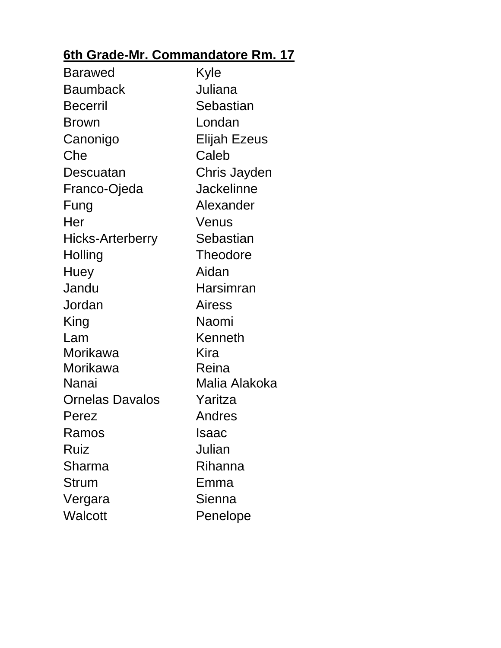# **6th Grade-Mr. Commandatore Rm. 17**

| <b>Barawed</b>          | Kyle                |
|-------------------------|---------------------|
| <b>Baumback</b>         | Juliana             |
| <b>Becerril</b>         | Sebastian           |
| <b>Brown</b>            | Londan              |
| Canonigo                | <b>Elijah Ezeus</b> |
| Che                     | Caleb               |
| Descuatan               | Chris Jayden        |
| Franco-Ojeda            | <b>Jackelinne</b>   |
| Fung                    | Alexander           |
| Her                     | Venus               |
| <b>Hicks-Arterberry</b> | Sebastian           |
| Holling                 | <b>Theodore</b>     |
| Huey                    | Aidan               |
| Jandu                   | Harsimran           |
| Jordan                  | Airess              |
| King                    | Naomi               |
| Lam                     | Kenneth             |
| Morikawa                | Kira                |
| Morikawa                | Reina               |
| Nanai                   | Malia Alakoka       |
| <b>Ornelas Davalos</b>  | Yaritza             |
| Perez                   | Andres              |
| Ramos                   | Isaac               |
| Ruiz                    | Julian              |
| Sharma                  | Rihanna             |
| <b>Strum</b>            | Emma                |
| Vergara                 | Sienna              |
| <b>Walcott</b>          | Penelope            |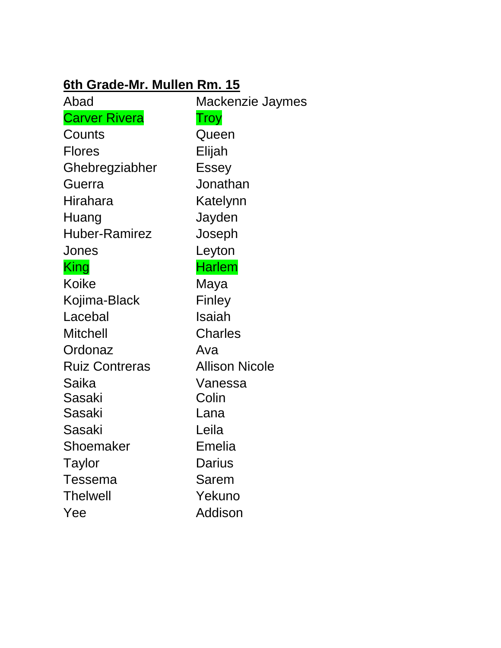#### **6th Grade-Mr. Mullen Rm. 15**

| Abad                  | Mackenzie Jaymes      |
|-----------------------|-----------------------|
| <b>Carver Rivera</b>  | Troy                  |
| Counts                | Queen                 |
| <b>Flores</b>         | Elijah                |
| Ghebregziabher        | <b>Essey</b>          |
| Guerra                | Jonathan              |
| Hirahara              | Katelynn              |
| Huang                 | Jayden                |
| <b>Huber-Ramirez</b>  | Joseph                |
| Jones                 | Leyton                |
| King                  | <b>Harlem</b>         |
| <b>Koike</b>          | Maya                  |
| Kojima-Black          | Finley                |
| Lacebal               | <b>Isaiah</b>         |
| <b>Mitchell</b>       | <b>Charles</b>        |
| Ordonaz               | Ava                   |
| <b>Ruiz Contreras</b> | <b>Allison Nicole</b> |
| Saika                 | Vanessa               |
| Sasaki                | Colin                 |
| Sasaki                | Lana                  |
| Sasaki                | Leila                 |
| Shoemaker             | <b>Emelia</b>         |
| Taylor                | <b>Darius</b>         |
| <b>Tessema</b>        | Sarem                 |
| <b>Thelwell</b>       | Yekuno                |
| Yee                   | <b>Addison</b>        |